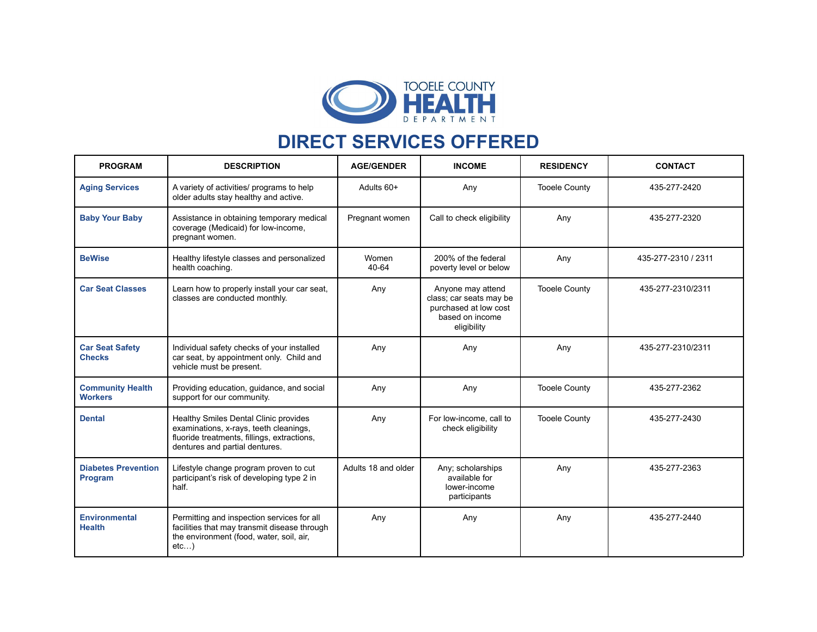

## **DIRECT SERVICES OFFERED**

| <b>PROGRAM</b>                            | <b>DESCRIPTION</b>                                                                                                                                               | <b>AGE/GENDER</b>   | <b>INCOME</b>                                                                                           | <b>RESIDENCY</b>     | <b>CONTACT</b>      |
|-------------------------------------------|------------------------------------------------------------------------------------------------------------------------------------------------------------------|---------------------|---------------------------------------------------------------------------------------------------------|----------------------|---------------------|
| <b>Aging Services</b>                     | A variety of activities/ programs to help<br>older adults stay healthy and active.                                                                               | Adults 60+          | Any                                                                                                     | <b>Tooele County</b> | 435-277-2420        |
| <b>Baby Your Baby</b>                     | Assistance in obtaining temporary medical<br>coverage (Medicaid) for low-income,<br>pregnant women.                                                              | Pregnant women      | Call to check eligibility                                                                               | Any                  | 435-277-2320        |
| <b>BeWise</b>                             | Healthy lifestyle classes and personalized<br>health coaching.                                                                                                   | Women<br>40-64      | 200% of the federal<br>poverty level or below                                                           | Any                  | 435-277-2310 / 2311 |
| <b>Car Seat Classes</b>                   | Learn how to properly install your car seat,<br>classes are conducted monthly.                                                                                   | Any                 | Anyone may attend<br>class; car seats may be<br>purchased at low cost<br>based on income<br>eligibility | <b>Tooele County</b> | 435-277-2310/2311   |
| <b>Car Seat Safety</b><br><b>Checks</b>   | Individual safety checks of your installed<br>car seat, by appointment only. Child and<br>vehicle must be present.                                               | Any                 | Any                                                                                                     | Any                  | 435-277-2310/2311   |
| <b>Community Health</b><br><b>Workers</b> | Providing education, guidance, and social<br>support for our community.                                                                                          | Any                 | Any                                                                                                     | <b>Tooele County</b> | 435-277-2362        |
| <b>Dental</b>                             | Healthy Smiles Dental Clinic provides<br>examinations, x-rays, teeth cleanings,<br>fluoride treatments, fillings, extractions,<br>dentures and partial dentures. | Any                 | For low-income, call to<br>check eligibility                                                            | <b>Tooele County</b> | 435-277-2430        |
| <b>Diabetes Prevention</b><br>Program     | Lifestyle change program proven to cut<br>participant's risk of developing type 2 in<br>half.                                                                    | Adults 18 and older | Any; scholarships<br>available for<br>lower-income<br>participants                                      | Any                  | 435-277-2363        |
| <b>Environmental</b><br><b>Health</b>     | Permitting and inspection services for all<br>facilities that may transmit disease through<br>the environment (food, water, soil, air,<br>etc)                   | Any                 | Any                                                                                                     | Any                  | 435-277-2440        |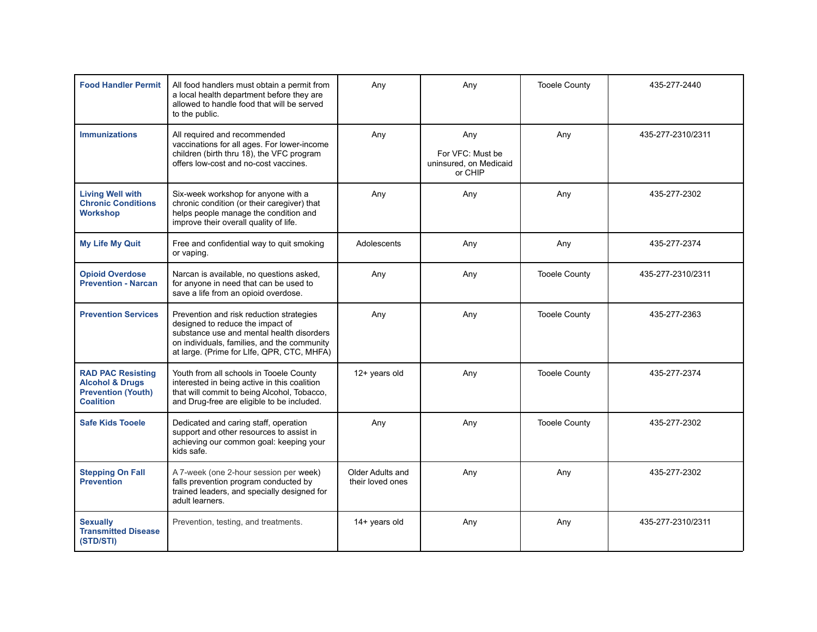| <b>Food Handler Permit</b>                                                                              | All food handlers must obtain a permit from<br>a local health department before they are<br>allowed to handle food that will be served<br>to the public.                                                               | Any                                  | Any                                                          | <b>Tooele County</b> | 435-277-2440      |
|---------------------------------------------------------------------------------------------------------|------------------------------------------------------------------------------------------------------------------------------------------------------------------------------------------------------------------------|--------------------------------------|--------------------------------------------------------------|----------------------|-------------------|
| <b>Immunizations</b>                                                                                    | All required and recommended<br>vaccinations for all ages. For lower-income<br>children (birth thru 18), the VFC program<br>offers low-cost and no-cost vaccines.                                                      | Any                                  | Any<br>For VFC: Must be<br>uninsured, on Medicaid<br>or CHIP | Any                  | 435-277-2310/2311 |
| <b>Living Well with</b><br><b>Chronic Conditions</b><br><b>Workshop</b>                                 | Six-week workshop for anyone with a<br>chronic condition (or their caregiver) that<br>helps people manage the condition and<br>improve their overall quality of life.                                                  | Any                                  | Any                                                          | Any                  | 435-277-2302      |
| <b>My Life My Quit</b>                                                                                  | Free and confidential way to quit smoking<br>or vaping.                                                                                                                                                                | Adolescents                          | Any                                                          | Any                  | 435-277-2374      |
| <b>Opioid Overdose</b><br><b>Prevention - Narcan</b>                                                    | Narcan is available, no questions asked,<br>for anyone in need that can be used to<br>save a life from an opioid overdose.                                                                                             | Any                                  | Any                                                          | <b>Tooele County</b> | 435-277-2310/2311 |
| <b>Prevention Services</b>                                                                              | Prevention and risk reduction strategies<br>designed to reduce the impact of<br>substance use and mental health disorders<br>on individuals, families, and the community<br>at large. (Prime for Llfe, QPR, CTC, MHFA) | Any                                  | Any                                                          | <b>Tooele County</b> | 435-277-2363      |
| <b>RAD PAC Resisting</b><br><b>Alcohol &amp; Drugs</b><br><b>Prevention (Youth)</b><br><b>Coalition</b> | Youth from all schools in Tooele County<br>interested in being active in this coalition<br>that will commit to being Alcohol, Tobacco,<br>and Drug-free are eligible to be included.                                   | 12+ years old                        | Any                                                          | <b>Tooele County</b> | 435-277-2374      |
| <b>Safe Kids Tooele</b>                                                                                 | Dedicated and caring staff, operation<br>support and other resources to assist in<br>achieving our common goal: keeping your<br>kids safe.                                                                             | Any                                  | Any                                                          | <b>Tooele County</b> | 435-277-2302      |
| <b>Stepping On Fall</b><br><b>Prevention</b>                                                            | A 7-week (one 2-hour session per week)<br>falls prevention program conducted by<br>trained leaders, and specially designed for<br>adult learners.                                                                      | Older Adults and<br>their loved ones | Any                                                          | Any                  | 435-277-2302      |
| <b>Sexually</b><br><b>Transmitted Disease</b><br>(STD/STI)                                              | Prevention, testing, and treatments.                                                                                                                                                                                   | 14+ years old                        | Any                                                          | Any                  | 435-277-2310/2311 |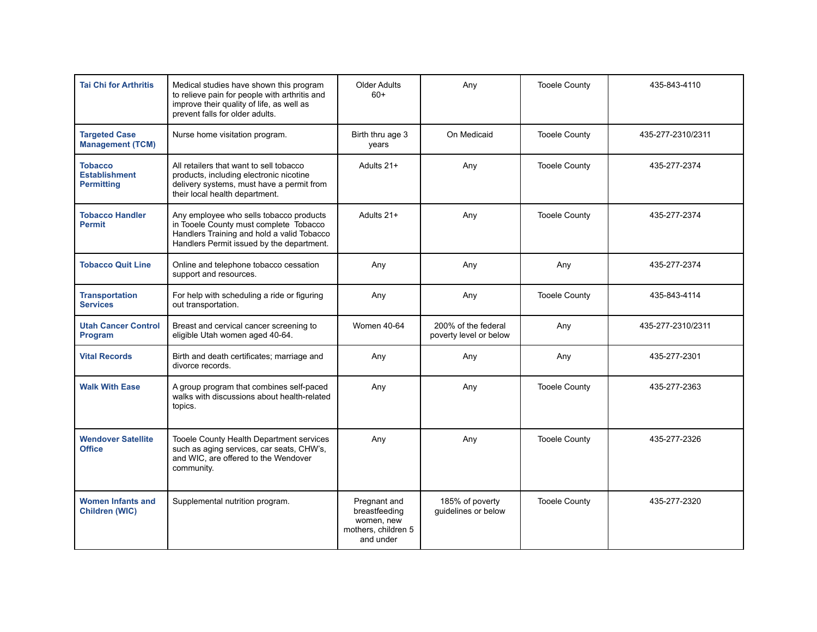| <b>Tai Chi for Arthritis</b>                                | Medical studies have shown this program<br>to relieve pain for people with arthritis and<br>improve their quality of life, as well as<br>prevent falls for older adults.     | <b>Older Adults</b><br>$60+$                                                    | Any                                           | <b>Tooele County</b> | 435-843-4110      |
|-------------------------------------------------------------|------------------------------------------------------------------------------------------------------------------------------------------------------------------------------|---------------------------------------------------------------------------------|-----------------------------------------------|----------------------|-------------------|
| <b>Targeted Case</b><br><b>Management (TCM)</b>             | Nurse home visitation program.                                                                                                                                               | Birth thru age 3<br>years                                                       | On Medicaid                                   | <b>Tooele County</b> | 435-277-2310/2311 |
| <b>Tobacco</b><br><b>Establishment</b><br><b>Permitting</b> | All retailers that want to sell tobacco<br>products, including electronic nicotine<br>delivery systems, must have a permit from<br>their local health department.            | Adults 21+                                                                      | Any                                           | <b>Tooele County</b> | 435-277-2374      |
| <b>Tobacco Handler</b><br><b>Permit</b>                     | Any employee who sells tobacco products<br>in Tooele County must complete Tobacco<br>Handlers Training and hold a valid Tobacco<br>Handlers Permit issued by the department. | Adults 21+                                                                      | Any                                           | <b>Tooele County</b> | 435-277-2374      |
| <b>Tobacco Quit Line</b>                                    | Online and telephone tobacco cessation<br>support and resources.                                                                                                             | Any                                                                             | Any                                           | Any                  | 435-277-2374      |
| <b>Transportation</b><br><b>Services</b>                    | For help with scheduling a ride or figuring<br>out transportation.                                                                                                           | Any                                                                             | Any                                           | <b>Tooele County</b> | 435-843-4114      |
| <b>Utah Cancer Control</b><br>Program                       | Breast and cervical cancer screening to<br>eligible Utah women aged 40-64.                                                                                                   | <b>Women 40-64</b>                                                              | 200% of the federal<br>poverty level or below | Any                  | 435-277-2310/2311 |
| <b>Vital Records</b>                                        | Birth and death certificates; marriage and<br>divorce records.                                                                                                               | Any                                                                             | Any                                           | Any                  | 435-277-2301      |
| <b>Walk With Ease</b>                                       | A group program that combines self-paced<br>walks with discussions about health-related<br>topics.                                                                           | Any                                                                             | Any                                           | <b>Tooele County</b> | 435-277-2363      |
| <b>Wendover Satellite</b><br><b>Office</b>                  | Tooele County Health Department services<br>such as aging services, car seats, CHW's,<br>and WIC. are offered to the Wendover<br>community.                                  | Any                                                                             | Any                                           | <b>Tooele County</b> | 435-277-2326      |
| <b>Women Infants and</b><br><b>Children (WIC)</b>           | Supplemental nutrition program.                                                                                                                                              | Pregnant and<br>breastfeeding<br>women, new<br>mothers, children 5<br>and under | 185% of poverty<br>guidelines or below        | <b>Tooele County</b> | 435-277-2320      |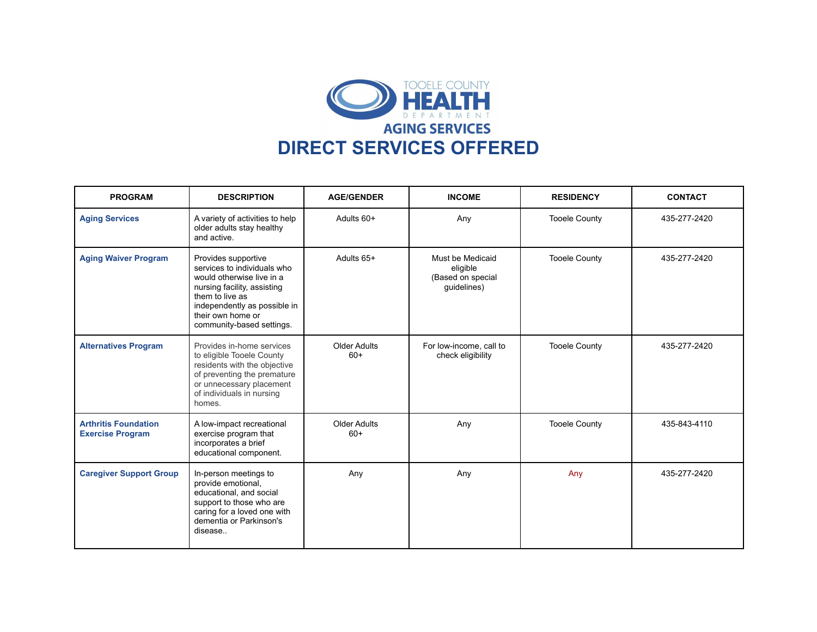

| <b>PROGRAM</b>                                         | <b>DESCRIPTION</b>                                                                                                                                                                                                  | <b>AGE/GENDER</b>     | <b>INCOME</b>                                                    | <b>RESIDENCY</b>     | <b>CONTACT</b> |
|--------------------------------------------------------|---------------------------------------------------------------------------------------------------------------------------------------------------------------------------------------------------------------------|-----------------------|------------------------------------------------------------------|----------------------|----------------|
| <b>Aging Services</b>                                  | A variety of activities to help<br>older adults stay healthy<br>and active.                                                                                                                                         | Adults 60+            | Any                                                              | <b>Tooele County</b> | 435-277-2420   |
| <b>Aging Waiver Program</b>                            | Provides supportive<br>services to individuals who<br>would otherwise live in a<br>nursing facility, assisting<br>them to live as<br>independently as possible in<br>their own home or<br>community-based settings. | Adults 65+            | Must be Medicaid<br>eligible<br>(Based on special<br>guidelines) | <b>Tooele County</b> | 435-277-2420   |
| <b>Alternatives Program</b>                            | Provides in-home services<br>to eligible Tooele County<br>residents with the objective<br>of preventing the premature<br>or unnecessary placement<br>of individuals in nursing<br>homes.                            | Older Adults<br>$60+$ | For low-income, call to<br>check eligibility                     | <b>Tooele County</b> | 435-277-2420   |
| <b>Arthritis Foundation</b><br><b>Exercise Program</b> | A low-impact recreational<br>exercise program that<br>incorporates a brief<br>educational component.                                                                                                                | Older Adults<br>$60+$ | Any                                                              | <b>Tooele County</b> | 435-843-4110   |
| <b>Caregiver Support Group</b>                         | In-person meetings to<br>provide emotional,<br>educational, and social<br>support to those who are<br>caring for a loved one with<br>dementia or Parkinson's<br>disease                                             | Any                   | Any                                                              | Any                  | 435-277-2420   |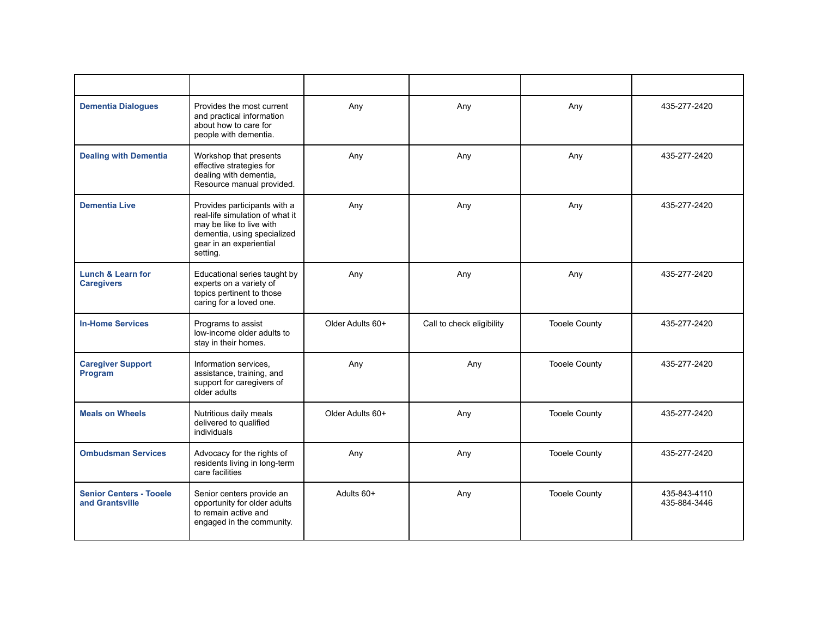| <b>Dementia Dialogues</b>                         | Provides the most current<br>and practical information<br>about how to care for<br>people with dementia.                                                          | Any              | Any                       | Any                  | 435-277-2420                 |
|---------------------------------------------------|-------------------------------------------------------------------------------------------------------------------------------------------------------------------|------------------|---------------------------|----------------------|------------------------------|
| <b>Dealing with Dementia</b>                      | Workshop that presents<br>effective strategies for<br>dealing with dementia,<br>Resource manual provided.                                                         | Any              | Any                       | Any                  | 435-277-2420                 |
| <b>Dementia Live</b>                              | Provides participants with a<br>real-life simulation of what it<br>may be like to live with<br>dementia, using specialized<br>gear in an experiential<br>setting. | Any              | Any                       | Any                  | 435-277-2420                 |
| <b>Lunch &amp; Learn for</b><br><b>Caregivers</b> | Educational series taught by<br>experts on a variety of<br>topics pertinent to those<br>caring for a loved one.                                                   | Any              | Any                       | Any                  | 435-277-2420                 |
| <b>In-Home Services</b>                           | Programs to assist<br>low-income older adults to<br>stay in their homes.                                                                                          | Older Adults 60+ | Call to check eligibility | <b>Tooele County</b> | 435-277-2420                 |
| <b>Caregiver Support</b><br>Program               | Information services,<br>assistance, training, and<br>support for caregivers of<br>older adults                                                                   | Any              | Any                       | <b>Tooele County</b> | 435-277-2420                 |
| <b>Meals on Wheels</b>                            | Nutritious daily meals<br>delivered to qualified<br>individuals                                                                                                   | Older Adults 60+ | Any                       | <b>Tooele County</b> | 435-277-2420                 |
| <b>Ombudsman Services</b>                         | Advocacy for the rights of<br>residents living in long-term<br>care facilities                                                                                    | Any              | Any                       | <b>Tooele County</b> | 435-277-2420                 |
| <b>Senior Centers - Tooele</b><br>and Grantsville | Senior centers provide an<br>opportunity for older adults<br>to remain active and<br>engaged in the community.                                                    | Adults 60+       | Any                       | <b>Tooele County</b> | 435-843-4110<br>435-884-3446 |